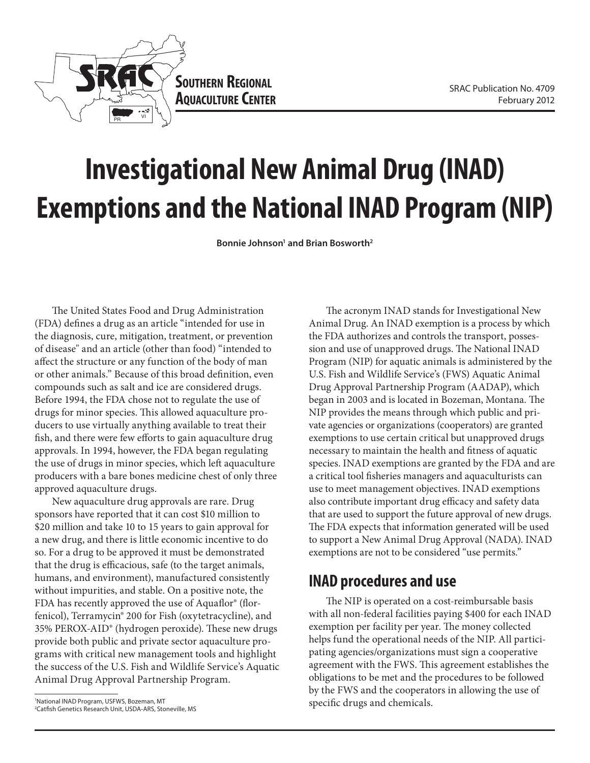

# **Investigational New Animal Drug (INAD) Exemptions and the National INAD Program (NIP)**

Bonnie Johnson<sup>1</sup> and Brian Bosworth<sup>2</sup>

The United States Food and Drug Administration (FDA) defines a drug as an article "intended for use in the diagnosis, cure, mitigation, treatment, or prevention of disease" and an article (other than food) "intended to affect the structure or any function of the body of man or other animals." Because of this broad definition, even compounds such as salt and ice are considered drugs. Before 1994, the FDA chose not to regulate the use of drugs for minor species. This allowed aquaculture producers to use virtually anything available to treat their fish, and there were few efforts to gain aquaculture drug approvals. In 1994, however, the FDA began regulating the use of drugs in minor species, which left aquaculture producers with a bare bones medicine chest of only three approved aquaculture drugs.

New aquaculture drug approvals are rare. Drug sponsors have reported that it can cost \$10 million to \$20 million and take 10 to 15 years to gain approval for a new drug, and there is little economic incentive to do so. For a drug to be approved it must be demonstrated that the drug is efficacious, safe (to the target animals, humans, and environment), manufactured consistently without impurities, and stable. On a positive note, the FDA has recently approved the use of Aquaflor® (florfenicol), Terramycin® 200 for Fish (oxytetracycline), and 35% PEROX-AID® (hydrogen peroxide). These new drugs provide both public and private sector aquaculture programs with critical new management tools and highlight the success of the U.S. Fish and Wildlife Service's Aquatic Animal Drug Approval Partnership Program.

The acronym INAD stands for Investigational New Animal Drug. An INAD exemption is a process by which the FDA authorizes and controls the transport, possession and use of unapproved drugs. The National INAD Program (NIP) for aquatic animals is administered by the U.S. Fish and Wildlife Service's (FWS) Aquatic Animal Drug Approval Partnership Program (AADAP), which began in 2003 and is located in Bozeman, Montana. The NIP provides the means through which public and private agencies or organizations (cooperators) are granted exemptions to use certain critical but unapproved drugs necessary to maintain the health and fitness of aquatic species. INAD exemptions are granted by the FDA and are a critical tool fisheries managers and aquaculturists can use to meet management objectives. INAD exemptions also contribute important drug efficacy and safety data that are used to support the future approval of new drugs. The FDA expects that information generated will be used to support a New Animal Drug Approval (NADA). INAD exemptions are not to be considered "use permits."

### **INAD procedures and use**

The NIP is operated on a cost-reimbursable basis with all non-federal facilities paying \$400 for each INAD exemption per facility per year. The money collected helps fund the operational needs of the NIP. All participating agencies/organizations must sign a cooperative agreement with the FWS. This agreement establishes the obligations to be met and the procedures to be followed by the FWS and the cooperators in allowing the use of specific drugs and chemicals.

<sup>1</sup> National INAD Program, USFWS, Bozeman, MT 2 Catfish Genetics Research Unit, USDA-ARS, Stoneville, MS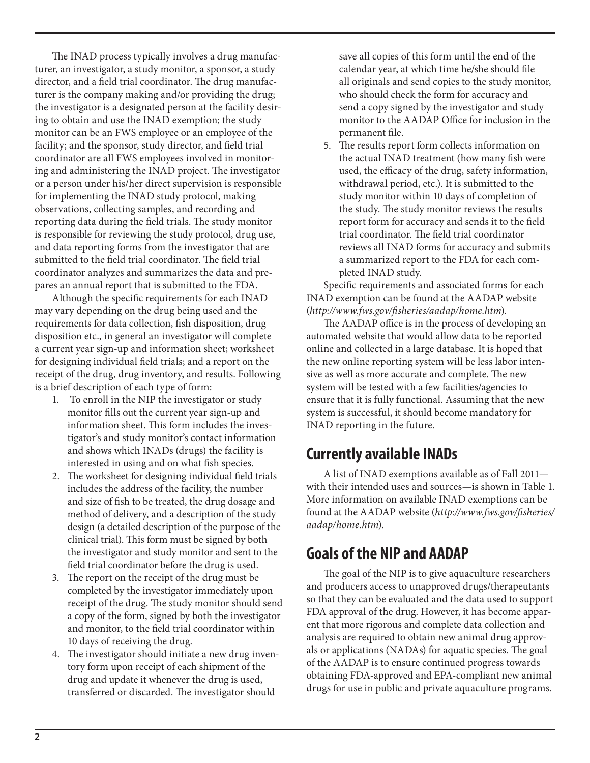The INAD process typically involves a drug manufacturer, an investigator, a study monitor, a sponsor, a study director, and a field trial coordinator. The drug manufacturer is the company making and/or providing the drug; the investigator is a designated person at the facility desiring to obtain and use the INAD exemption; the study monitor can be an FWS employee or an employee of the facility; and the sponsor, study director, and field trial coordinator are all FWS employees involved in monitoring and administering the INAD project. The investigator or a person under his/her direct supervision is responsible for implementing the INAD study protocol, making observations, collecting samples, and recording and reporting data during the field trials. The study monitor is responsible for reviewing the study protocol, drug use, and data reporting forms from the investigator that are submitted to the field trial coordinator. The field trial coordinator analyzes and summarizes the data and prepares an annual report that is submitted to the FDA.

Although the specific requirements for each INAD may vary depending on the drug being used and the requirements for data collection, fish disposition, drug disposition etc., in general an investigator will complete a current year sign-up and information sheet; worksheet for designing individual field trials; and a report on the receipt of the drug, drug inventory, and results. Following is a brief description of each type of form:

- 1. To enroll in the NIP the investigator or study monitor fills out the current year sign-up and information sheet. This form includes the investigator's and study monitor's contact information and shows which INADs (drugs) the facility is interested in using and on what fish species.
- 2. The worksheet for designing individual field trials includes the address of the facility, the number and size of fish to be treated, the drug dosage and method of delivery, and a description of the study design (a detailed description of the purpose of the clinical trial). This form must be signed by both the investigator and study monitor and sent to the field trial coordinator before the drug is used.
- 3. The report on the receipt of the drug must be completed by the investigator immediately upon receipt of the drug. The study monitor should send a copy of the form, signed by both the investigator and monitor, to the field trial coordinator within 10 days of receiving the drug.
- 4. The investigator should initiate a new drug inventory form upon receipt of each shipment of the drug and update it whenever the drug is used, transferred or discarded. The investigator should

save all copies of this form until the end of the calendar year, at which time he/she should file all originals and send copies to the study monitor, who should check the form for accuracy and send a copy signed by the investigator and study monitor to the AADAP Office for inclusion in the permanent file.

5. The results report form collects information on the actual INAD treatment (how many fish were used, the efficacy of the drug, safety information, withdrawal period, etc.). It is submitted to the study monitor within 10 days of completion of the study. The study monitor reviews the results report form for accuracy and sends it to the field trial coordinator. The field trial coordinator reviews all INAD forms for accuracy and submits a summarized report to the FDA for each completed INAD study.

Specific requirements and associated forms for each INAD exemption can be found at the AADAP website (*http://www.fws.gov/fisheries/aadap/home.htm*).

The AADAP office is in the process of developing an automated website that would allow data to be reported online and collected in a large database. It is hoped that the new online reporting system will be less labor intensive as well as more accurate and complete. The new system will be tested with a few facilities/agencies to ensure that it is fully functional. Assuming that the new system is successful, it should become mandatory for INAD reporting in the future.

### **Currently available INADs**

A list of INAD exemptions available as of Fall 2011 with their intended uses and sources—is shown in Table 1. More information on available INAD exemptions can be found at the AADAP website (*http://www.fws.gov/fisheries/ aadap/home.htm*).

## **Goals of the NIP and AADAP**

The goal of the NIP is to give aquaculture researchers and producers access to unapproved drugs/therapeutants so that they can be evaluated and the data used to support FDA approval of the drug. However, it has become apparent that more rigorous and complete data collection and analysis are required to obtain new animal drug approvals or applications (NADAs) for aquatic species. The goal of the AADAP is to ensure continued progress towards obtaining FDA-approved and EPA-compliant new animal drugs for use in public and private aquaculture programs.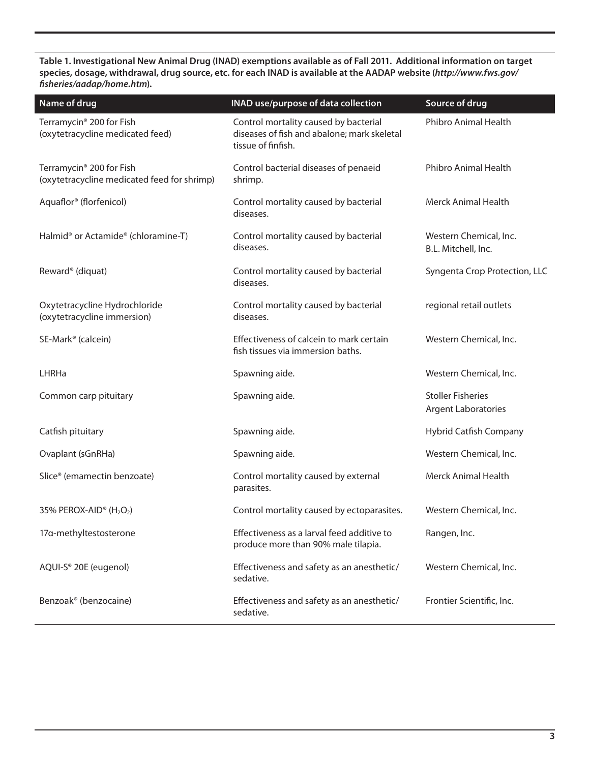**Table 1. Investigational New Animal Drug (INAD) exemptions available as of Fall 2011. Additional information on target species, dosage, withdrawal, drug source, etc. for each INAD is available at the AADAP website (***http://www.fws.gov/ fisheries/aadap/home.htm***).**

| Name of drug                                                                        | <b>INAD use/purpose of data collection</b>                                                                 | Source of drug                                         |
|-------------------------------------------------------------------------------------|------------------------------------------------------------------------------------------------------------|--------------------------------------------------------|
| Terramycin <sup>®</sup> 200 for Fish<br>(oxytetracycline medicated feed)            | Control mortality caused by bacterial<br>diseases of fish and abalone; mark skeletal<br>tissue of finfish. | Phibro Animal Health                                   |
| Terramycin <sup>®</sup> 200 for Fish<br>(oxytetracycline medicated feed for shrimp) | Control bacterial diseases of penaeid<br>shrimp.                                                           | Phibro Animal Health                                   |
| Aquaflor <sup>®</sup> (florfenicol)                                                 | Control mortality caused by bacterial<br>diseases.                                                         | <b>Merck Animal Health</b>                             |
| Halmid <sup>®</sup> or Actamide <sup>®</sup> (chloramine-T)                         | Control mortality caused by bacterial<br>diseases.                                                         | Western Chemical, Inc.<br>B.L. Mitchell, Inc.          |
| Reward <sup>®</sup> (diquat)                                                        | Control mortality caused by bacterial<br>diseases.                                                         | Syngenta Crop Protection, LLC                          |
| Oxytetracycline Hydrochloride<br>(oxytetracycline immersion)                        | Control mortality caused by bacterial<br>diseases.                                                         | regional retail outlets                                |
| SE-Mark <sup>®</sup> (calcein)                                                      | Effectiveness of calcein to mark certain<br>fish tissues via immersion baths.                              | Western Chemical, Inc.                                 |
| <b>LHRHa</b>                                                                        | Spawning aide.                                                                                             | Western Chemical, Inc.                                 |
| Common carp pituitary                                                               | Spawning aide.                                                                                             | <b>Stoller Fisheries</b><br><b>Argent Laboratories</b> |
| Catfish pituitary                                                                   | Spawning aide.                                                                                             | Hybrid Catfish Company                                 |
| Ovaplant (sGnRHa)                                                                   | Spawning aide.                                                                                             | Western Chemical, Inc.                                 |
| Slice <sup>®</sup> (emamectin benzoate)                                             | Control mortality caused by external<br>parasites.                                                         | <b>Merck Animal Health</b>                             |
| 35% PEROX-AID <sup>®</sup> ( $H_2O_2$ )                                             | Control mortality caused by ectoparasites.                                                                 | Western Chemical, Inc.                                 |
| 17a-methyltestosterone                                                              | Effectiveness as a larval feed additive to<br>produce more than 90% male tilapia.                          | Rangen, Inc.                                           |
| AQUI-S® 20E (eugenol)                                                               | Effectiveness and safety as an anesthetic/<br>sedative.                                                    | Western Chemical, Inc.                                 |
| Benzoak <sup>®</sup> (benzocaine)                                                   | Effectiveness and safety as an anesthetic/<br>sedative.                                                    | Frontier Scientific, Inc.                              |